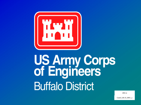

## US Army Corps<br>of Engineers **Buffalo District**

 $200.1e$ 

Guterl\_08.10\_0001\_a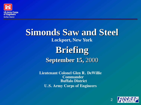

## **Simonds Saw and Steel Lockport, New York Briefing September 15,** 2000

**Lieutenant Colonel Glen R. DeWillie Commander Buffalo District U.S. Army Corps of Engineers**

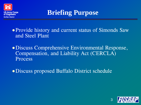

**Briefing Purpose**

• Provide history and current status of Simonds Saw and Steel Plant

•Discuss Comprehensive Environmental Response, Compensation, and Liability Act (CERCLA) Process

•Discuss proposed Buffalo District schedule

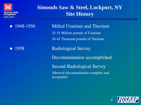

## **Simonds Saw & Steel, Lockport, NY Site History**

• 1948-1956 Milled Uranium and Thorium 25-35 Million pounds of Uranium 30-45 Thousand pounds of Thorium

• 1958 Radiological Survey Decontamination accomplished Second Radiological Survey (Showed decontamination complete and acceptable)

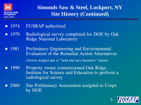

**Simonds Saw & Steel, Lockport, NY Site History (Continued)**

- 1974 FUSRAP authorized
- 1979 Radiological survey completed for DOE by Oak Ridge National Laboratory
- 1981 Preliminary Engineering and Environmental Evaluation of the Remedial Action Alternatives (Action stopped due to "hold and save harmless" clause)
- 1999 Property owner commissioned Oak Ridge Institute for Science and Education to perform a radiological survey
- 2000 Site Preliminary Assessment assigned to Corps by DOE

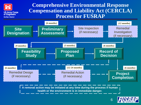